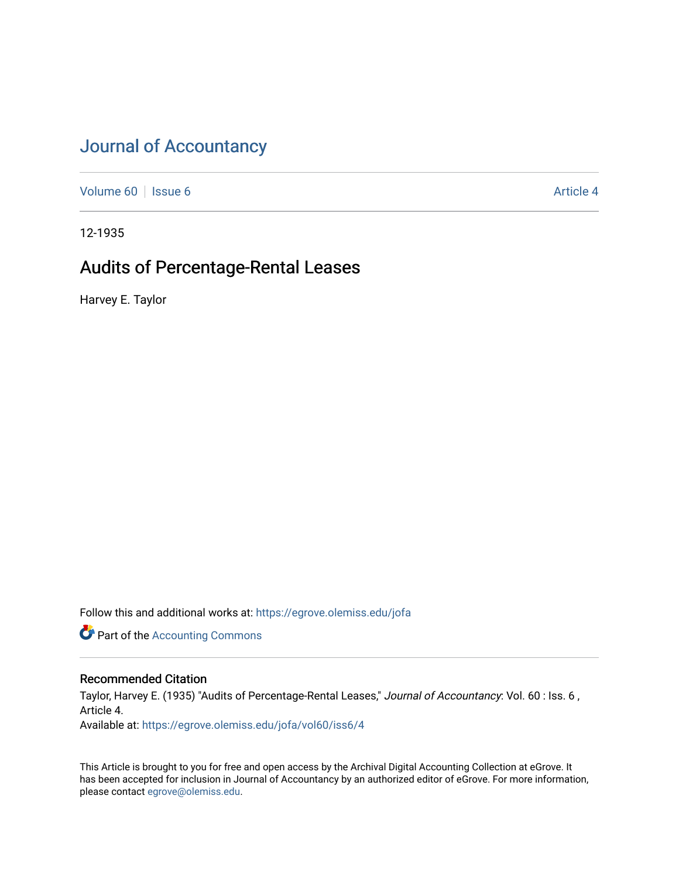# [Journal of Accountancy](https://egrove.olemiss.edu/jofa)

[Volume 60](https://egrove.olemiss.edu/jofa/vol60) | [Issue 6](https://egrove.olemiss.edu/jofa/vol60/iss6) Article 4

12-1935

# Audits of Percentage-Rental Leases

Harvey E. Taylor

Follow this and additional works at: [https://egrove.olemiss.edu/jofa](https://egrove.olemiss.edu/jofa?utm_source=egrove.olemiss.edu%2Fjofa%2Fvol60%2Fiss6%2F4&utm_medium=PDF&utm_campaign=PDFCoverPages) 

**Part of the [Accounting Commons](http://network.bepress.com/hgg/discipline/625?utm_source=egrove.olemiss.edu%2Fjofa%2Fvol60%2Fiss6%2F4&utm_medium=PDF&utm_campaign=PDFCoverPages)** 

### Recommended Citation

Taylor, Harvey E. (1935) "Audits of Percentage-Rental Leases," Journal of Accountancy: Vol. 60 : Iss. 6, Article 4.

Available at: [https://egrove.olemiss.edu/jofa/vol60/iss6/4](https://egrove.olemiss.edu/jofa/vol60/iss6/4?utm_source=egrove.olemiss.edu%2Fjofa%2Fvol60%2Fiss6%2F4&utm_medium=PDF&utm_campaign=PDFCoverPages) 

This Article is brought to you for free and open access by the Archival Digital Accounting Collection at eGrove. It has been accepted for inclusion in Journal of Accountancy by an authorized editor of eGrove. For more information, please contact [egrove@olemiss.edu.](mailto:egrove@olemiss.edu)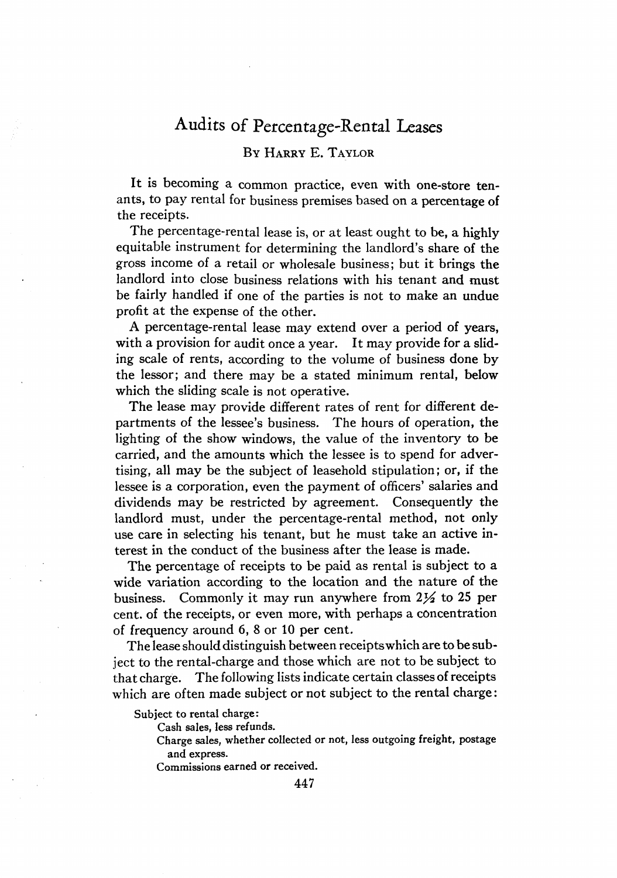## Audits of Percentage-Rental Leases

#### B<sup>y</sup> Harry E. Taylor

It is becoming a common practice, even with one-store tenants, to pay rental for business premises based on a percentage of the receipts.

The percentage-rental lease is, or at least ought to be, a highly equitable instrument for determining the landlord's share of the gross income of a retail or wholesale business; but it brings the landlord into close business relations with his tenant and must be fairly handled if one of the parties is not to make an undue profit at the expense of the other.

A percentage-rental lease may extend over a period of years, with a provision for audit once a year. It may provide for a sliding scale of rents, according to the volume of business done by the lessor; and there may be a stated minimum rental, below which the sliding scale is not operative.

The lease may provide different rates of rent for different departments of the lessee's business. The hours of operation, the lighting of the show windows, the value of the inventory to be carried, and the amounts which the lessee is to spend for advertising, all may be the subject of leasehold stipulation; or, if the lessee is a corporation, even the payment of officers' salaries and dividends may be restricted by agreement. Consequently the landlord must, under the percentage-rental method, not only use care in selecting his tenant, but he must take an active interest in the conduct of the business after the lease is made.

The percentage of receipts to be paid as rental is subject to a wide variation according to the location and the nature of the business. Commonly it may run anywhere from  $2\frac{1}{2}$  to 25 per cent, of the receipts, or even more, with perhaps a concentration of frequency around 6, 8 or 10 per cent.

The lease should distinguish between receiptswhich are to be subject to the rental-charge and those which are not to be subject to that charge. The following listsindicate certain classes of receipts which are often made subject or not subject to the rental charge:

Subject to rental charge:

Cash sales, less refunds.

Charge sales, whether collected or not, less outgoing freight, postage and express.

Commissions earned or received.

447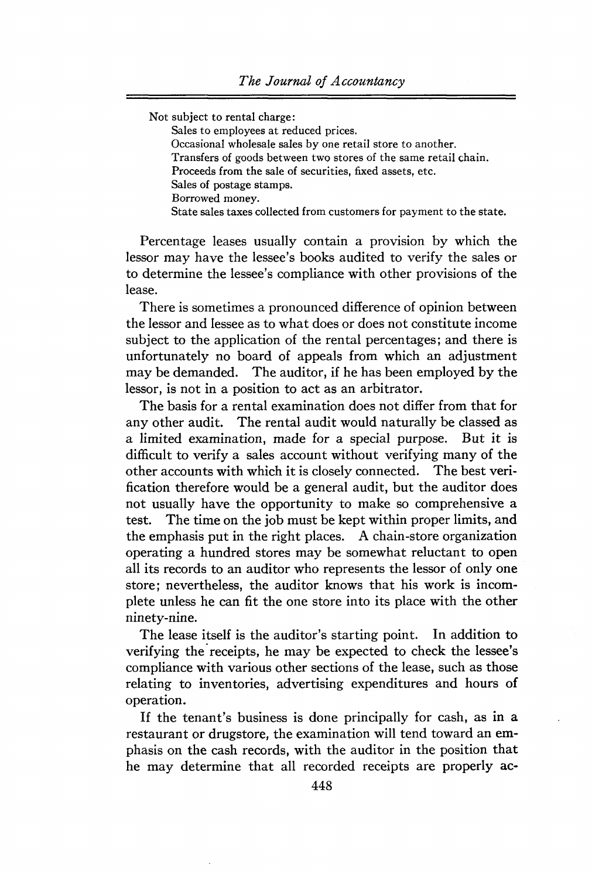Not subject to rental charge: Sales to employees at reduced prices. Occasional wholesale sales by one retail store to another. Transfers of goods between two stores of the same retail chain. Proceeds from the sale of securities, fixed assets, etc. Sales of postage stamps. Borrowed money. State sales taxes collected from customers for payment to the state.

Percentage leases usually contain a provision by which the lessor may have the lessee's books audited to verify the sales or to determine the lessee's compliance with other provisions of the lease.

There is sometimes a pronounced difference of opinion between the lessor and lessee as to what does or does not constitute income subject to the application of the rental percentages; and there is unfortunately no board of appeals from which an adjustment may be demanded. The auditor, if he has been employed by the lessor, is not in a position to act as an arbitrator.

The basis for a rental examination does not differ from that for any other audit. The rental audit would naturally be classed as a limited examination, made for a special purpose. But it is difficult to verify a sales account without verifying many of the other accounts with which it is closely connected. The best verification therefore would be a general audit, but the auditor does not usually have the opportunity to make so comprehensive a test. The time on the job must be kept within proper limits, and the emphasis put in the right places. A chain-store organization operating a hundred stores may be somewhat reluctant to open all its records to an auditor who represents the lessor of only one store; nevertheless, the auditor knows that his work is incomplete unless he can fit the one store into its place with the other ninety-nine.

The lease itself is the auditor's starting point. In addition to verifying the receipts, he may be expected to check the lessee's compliance with various other sections of the lease, such as those relating to inventories, advertising expenditures and hours of operation.

If the tenant's business is done principally for cash, as in a restaurant or drugstore, the examination will tend toward an emphasis on the cash records, with the auditor in the position that he may determine that all recorded receipts are properly ac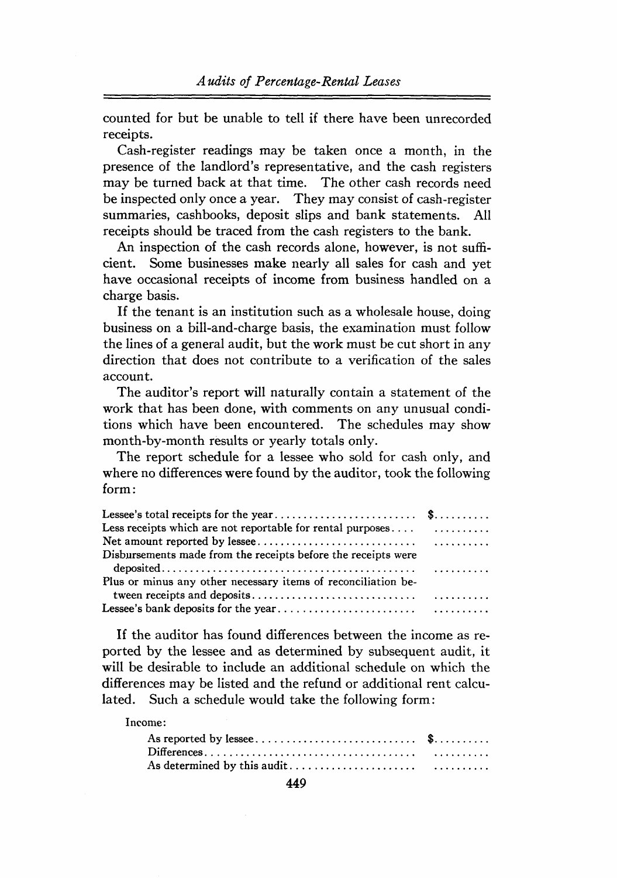counted for but be unable to tell if there have been unrecorded receipts.

Cash-register readings may be taken once a month, in the presence of the landlord's representative, and the cash registers may be turned back at that time. The other cash records need be inspected only once a year. They may consist of cash-register summaries, cashbooks, deposit slips and bank statements. All receipts should be traced from the cash registers to the bank.

An inspection of the cash records alone, however, is not sufficient. Some businesses make nearly all sales for cash and yet have occasional receipts of income from business handled on a charge basis.

If the tenant is an institution such as a wholesale house, doing business on a bill-and-charge basis, the examination must follow the lines of a general audit, but the work must be cut short in any direction that does not contribute to a verification of the sales account.

The auditor's report will naturally contain a statement of the work that has been done, with comments on any unusual conditions which have been encountered. The schedules may show month-by-month results or yearly totals only.

The report schedule for a lessee who sold for cash only, and where no differences were found by the auditor, took the following form:

| Less receipts which are not reportable for rental purposes |
|------------------------------------------------------------|
|                                                            |
|                                                            |
|                                                            |
|                                                            |
|                                                            |
|                                                            |
|                                                            |

If the auditor has found differences between the income as reported by the lessee and as determined by subsequent audit, it will be desirable to include an additional schedule on which the differences may be listed and the refund or additional rent calculated. Such a schedule would take the following form:

#### Income: